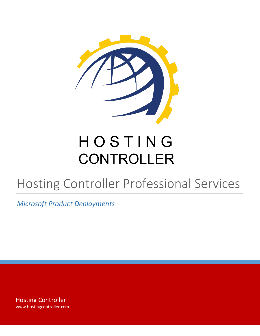

# HOSTING **CONTROLLER**

# Hosting Controller Professional Services

*Microsoft Product Deployments* 

Hosting Controller www.hostingcontroller.com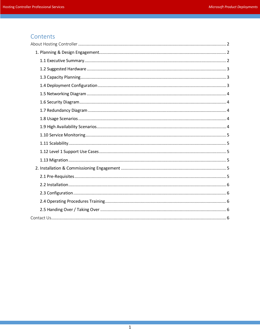# Contents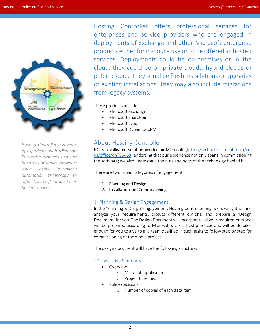

*Hosting Controller has years of experience with Microsoft Enterprise products and has hundreds of service providers using Hosting Controller's automation technology to offer Microsoft products as hosted services.*

Hosting Controller offers professional services for enterprises and service providers who are engaged in deployments of Exchange and other Microsoft enterprise products either for in-house use or to be offered as hosted services. Deployments could be on-premises or in the cloud, they could be on private clouds, hybrid clouds or public clouds. They could be fresh installations or upgrades of existing installations. They may also include migrations from legacy systems.

These products include:

- Microsoft Exchange
- Microsoft SharePoint
- Microsoft Lync
- Microsoft Dynamics CRM

## <span id="page-2-0"></span>About Hosting Controller

HC is a validated solution vendor by Microsoft [\(https://technet.microsoft.com/en](https://technet.microsoft.com/en-us/office/dn756468)[us/office/dn756468\)](https://technet.microsoft.com/en-us/office/dn756468) endorsing that our experience not only spans in commissioning the software; we also understand the nuts and bolts of the technology behind it.

There are two broad categories of engagement:

- 1. Planning and Design
- 2. Installation and Commissioning

### <span id="page-2-1"></span>1. Planning & Design Engagement

In the 'Planning & Design' engagement, Hosting Controller engineers will gather and analyze your requirements, discuss different options, and prepare a 'Design Document' for you. The Design Document will incorporate all your requirements and will be prepared according to Microsoft's latest best practices and will be detailed enough for you to give to any team qualified in such tasks to follow step by step for commissioning of the whole project.

The design document will have the following structure:

#### <span id="page-2-2"></span>1.1 Executive Summary

- Overview
	- o Microsoft applications
	- o Project timelines
- Policy decisions
	- o Number of copies of each data item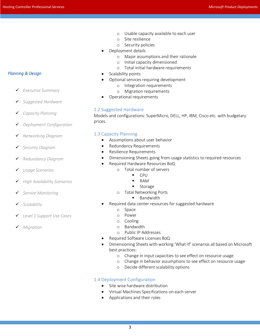- o Usable capacity available to each user
- o Site resilience
- o Security policies
- Deployment details
	- o Major assumptions and their rationale
	- o Initial capacity dimensioned
	- o Total initial hardware requirements
- Scalability points
- Optional services requiring development
	- o Integration requirements
	- o Migration requirements
- Operational requirements

#### <span id="page-3-0"></span>1.2 Suggested Hardware

Models and configurations: SuperMicro, DELL, HP, IBM, Cisco etc. with budgetary prices.

#### <span id="page-3-1"></span>1.3 Capacity Planning

- Assumptions about user behavior
- Redundancy Requirements
- Resilience Requirements
- Dimensioning Sheets going from usage statistics to required resources
- Required Hardware Resources BoQ
	- o Total number of servers
		- CPU
		- RAM
		- **Storage**
	- o Total Networking Ports
		- **Bandwidth**
- Required data center resources for suggested hardware
	- o Space
	- o Power
	- o Cooling
	- o Bandwidth
	- o Public IP Addresses
- Required Software Licenses BoQ
- Dimensioning Sheets with working 'What-If' scenarios all based on Microsoft best practices:
	- o Change in input capacities to see effect on resource usage
	- o Change in behavior assumptions to see effect on resource usage
	- o Decide different scalability options

#### <span id="page-3-2"></span>1.4 Deployment Configuration

- Site wise hardware distribution
- Virtual Machines Specifications on each server
- Applications and their roles

#### *Planning & Design*

- *Executive Summary*
- *Suggested Hardware*
- *Capacity Planning*
- *Deployment Configuration*
- *Networking Diagram*
- *Security Diagram*
- *Redundancy Diagram*
- *Usage Scenarios*
- *High Availability Scenarios*
- *Service Monitoring*
- *Scalability*
- *Level 1 Support Use Cases*
- *Migration*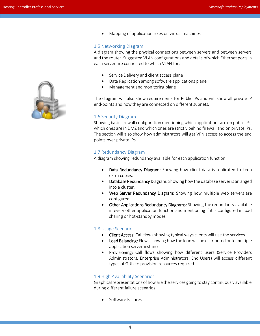

Mapping of application roles on virtual machines

#### <span id="page-4-0"></span>1.5 Networking Diagram

A diagram showing the physical connections between servers and between servers and the router. Suggested VLAN configurations and details of which Ethernet ports in each server are connected to which VLAN for:

- Service Delivery and client access plane
- Data Replication among software applications plane
- Management and monitoring plane

The diagram will also show requirements for Public IPs and will show all private IP end-points and how they are connected on different subnets.

#### <span id="page-4-1"></span>1.6 Security Diagram

Showing basic firewall configuration mentioning which applications are on public IPs, which ones are in DMZ and which ones are strictly behind firewall and on private IPs. The section will also show how administrators will get VPN access to access the end points over private IPs.

#### <span id="page-4-2"></span>1.7 Redundancy Diagram

A diagram showing redundancy available for each application function:

- Data Redundancy Diagram: Showing how client data is replicated to keep extra copies.
- **Database Redundancy Diagram:** Showing how the database server is arranged into a cluster.
- Web Server Redundancy Diagram: Showing how multiple web servers are configured.
- Other Applications Redundancy Diagrams: Showing the redundancy available in every other application function and mentioning if it is configured in load sharing or hot-standby modes.

#### <span id="page-4-3"></span>1.8 Usage Scenarios

- Client Access: Call flows showing typical ways clients will use the services
- Load Balancing: Flows showing how the load will be distributed onto multiple application server instances
- Provisioning: Call flows showing how different users (Service Providers Administrators, Enterprise Administrators, End Users) will access different types of GUIs to provision resources required.

#### <span id="page-4-4"></span>1.9 High Availability Scenarios

Graphical representations of how are the services going to stay continuously available during different failure scenarios.

Software Failures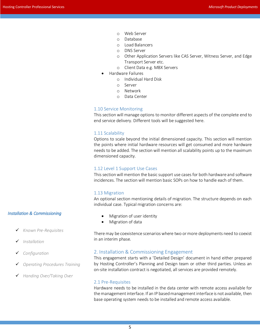- o Web Server
- o Database
- o Load Balancers
- o DNS Server
- o Other Application Servers like CAS Server, Witness Server, and Edge Transport Server etc.
- o Client Data e.g. MBX Servers
- Hardware Failures
	- o Individual Hard Disk
	- o Server
	- o Network
	- o Data Center

#### <span id="page-5-0"></span>1.10 Service Monitoring

This section will manage options to monitor different aspects of the complete end to end service delivery. Different tools will be suggested here.

#### <span id="page-5-1"></span>1.11 Scalability

Options to scale beyond the initial dimensioned capacity. This section will mention the points where initial hardware resources will get consumed and more hardware needs to be added. The section will mention all scalability points up to the maximum dimensioned capacity.

#### <span id="page-5-2"></span>1.12 Level 1 Support Use Cases

This section will mention the basic support use cases for both hardware and software incidences. The section will mention basic SOPs on how to handle each of them.

#### <span id="page-5-3"></span>1.13 Migration

An optional section mentioning details of migration. The structure depends on each individual case. Typical migration concerns are:

## *Installation & Commissioning*

- *Known Pre-Requisites*
- *Installation*
- *Configuration*
- *Operating Procedures Training*
- *Handing Over/Taking Over*
- Migration of user identity
- Migration of data

There may be coexistence scenarios where two or more deployments need to coexist in an interim phase.

#### <span id="page-5-4"></span>2. Installation & Commissioning Engagement

This engagement starts with a 'Detailed Design' document in hand either prepared by Hosting Controller's Planning and Design team or other third parties. Unless an on-site installation contract is negotiated, all services are provided remotely.

#### <span id="page-5-5"></span>2.1 Pre-Requisites

Hardware needs to be installed in the data center with remote access available for the management interface. If an IP based management interface is not available, then base operating system needs to be installed and remote access available.